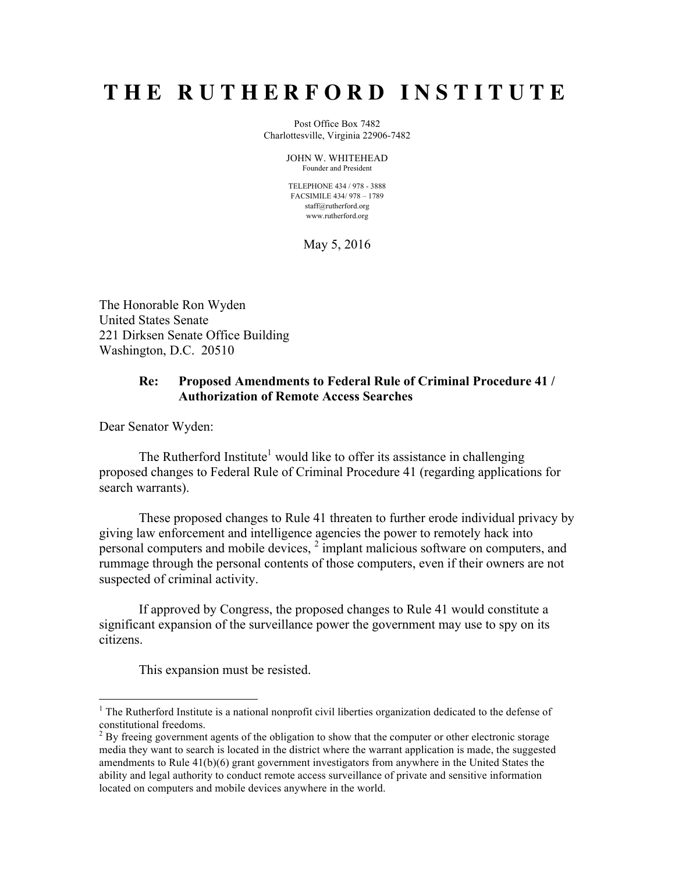## **THE RUTHERFORD INSTITUTE**

Post Office Box 7482 Charlottesville, Virginia 22906-7482

> JOHN W. WHITEHEAD Founder and President

TELEPHONE 434 / 978 - 3888 FACSIMILE 434/ 978 – 1789 staff@rutherford.org www.rutherford.org

May 5, 2016

The Honorable Ron Wyden United States Senate 221 Dirksen Senate Office Building Washington, D.C. 20510

## **Re: Proposed Amendments to Federal Rule of Criminal Procedure 41 / Authorization of Remote Access Searches**

Dear Senator Wyden:

The Rutherford Institute<sup>1</sup> would like to offer its assistance in challenging proposed changes to Federal Rule of Criminal Procedure 41 (regarding applications for search warrants).

These proposed changes to Rule 41 threaten to further erode individual privacy by giving law enforcement and intelligence agencies the power to remotely hack into personal computers and mobile devices,  $2 \text{ implant malicious software on computers, and}$ rummage through the personal contents of those computers, even if their owners are not suspected of criminal activity.

If approved by Congress, the proposed changes to Rule 41 would constitute a significant expansion of the surveillance power the government may use to spy on its citizens.

This expansion must be resisted.

<sup>&</sup>lt;sup>1</sup> The Rutherford Institute is a national nonprofit civil liberties organization dedicated to the defense of constitutional freedoms.<br><sup>2</sup> By freeing government agents of the obligation to show that the computer or other electronic storage

media they want to search is located in the district where the warrant application is made, the suggested amendments to Rule 41(b)(6) grant government investigators from anywhere in the United States the ability and legal authority to conduct remote access surveillance of private and sensitive information located on computers and mobile devices anywhere in the world.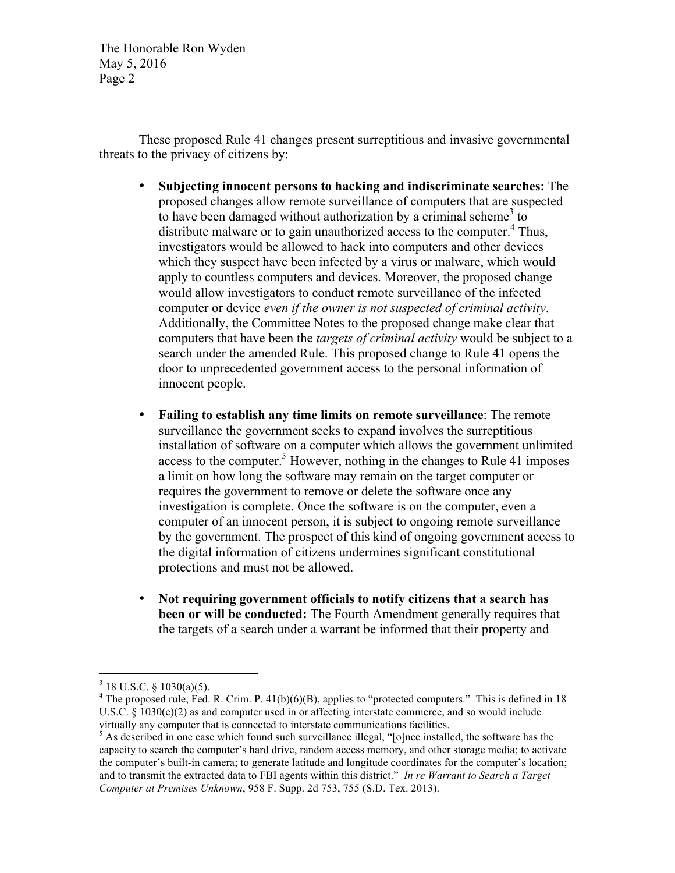The Honorable Ron Wyden May 5, 2016 Page 2

These proposed Rule 41 changes present surreptitious and invasive governmental threats to the privacy of citizens by:

- **Subjecting innocent persons to hacking and indiscriminate searches:** The proposed changes allow remote surveillance of computers that are suspected to have been damaged without authorization by a criminal scheme<sup>3</sup> to distribute malware or to gain unauthorized access to the computer. $4$  Thus, investigators would be allowed to hack into computers and other devices which they suspect have been infected by a virus or malware, which would apply to countless computers and devices. Moreover, the proposed change would allow investigators to conduct remote surveillance of the infected computer or device *even if the owner is not suspected of criminal activity*. Additionally, the Committee Notes to the proposed change make clear that computers that have been the *targets of criminal activity* would be subject to a search under the amended Rule. This proposed change to Rule 41 opens the door to unprecedented government access to the personal information of innocent people.
- **Failing to establish any time limits on remote surveillance**: The remote surveillance the government seeks to expand involves the surreptitious installation of software on a computer which allows the government unlimited access to the computer.<sup>5</sup> However, nothing in the changes to Rule 41 imposes a limit on how long the software may remain on the target computer or requires the government to remove or delete the software once any investigation is complete. Once the software is on the computer, even a computer of an innocent person, it is subject to ongoing remote surveillance by the government. The prospect of this kind of ongoing government access to the digital information of citizens undermines significant constitutional protections and must not be allowed.
- **Not requiring government officials to notify citizens that a search has been or will be conducted:** The Fourth Amendment generally requires that the targets of a search under a warrant be informed that their property and

 $3$  18 U.S.C. § 1030(a)(5).

 $4$  The proposed rule, Fed. R. Crim. P. 41(b)(6)(B), applies to "protected computers." This is defined in 18 U.S.C. § 1030(e)(2) as and computer used in or affecting interstate commerce, and so would include virtually any computer that is connected to interstate communications facilities. <sup>5</sup> As described in one case which found such surveillance illegal, "[o]nce installed, the software has the

capacity to search the computer's hard drive, random access memory, and other storage media; to activate the computer's built-in camera; to generate latitude and longitude coordinates for the computer's location; and to transmit the extracted data to FBI agents within this district." *In re Warrant to Search a Target Computer at Premises Unknown*, 958 F. Supp. 2d 753, 755 (S.D. Tex. 2013).